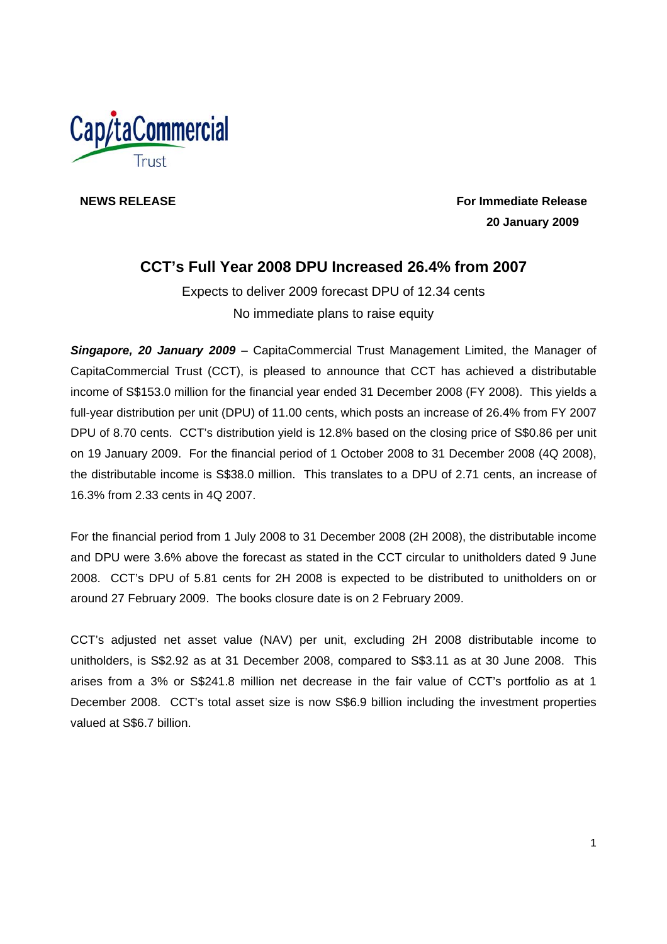

**NEWS RELEASE** For Immediate Release **For Immediate Release 20 January 2009** 

# **CCT's Full Year 2008 DPU Increased 26.4% from 2007**

Expects to deliver 2009 forecast DPU of 12.34 cents No immediate plans to raise equity

*Singapore, 20 January 2009* – CapitaCommercial Trust Management Limited, the Manager of CapitaCommercial Trust (CCT), is pleased to announce that CCT has achieved a distributable income of S\$153.0 million for the financial year ended 31 December 2008 (FY 2008). This yields a full-year distribution per unit (DPU) of 11.00 cents, which posts an increase of 26.4% from FY 2007 DPU of 8.70 cents. CCT's distribution yield is 12.8% based on the closing price of S\$0.86 per unit on 19 January 2009. For the financial period of 1 October 2008 to 31 December 2008 (4Q 2008), the distributable income is S\$38.0 million. This translates to a DPU of 2.71 cents, an increase of 16.3% from 2.33 cents in 4Q 2007.

For the financial period from 1 July 2008 to 31 December 2008 (2H 2008), the distributable income and DPU were 3.6% above the forecast as stated in the CCT circular to unitholders dated 9 June 2008. CCT's DPU of 5.81 cents for 2H 2008 is expected to be distributed to unitholders on or around 27 February 2009. The books closure date is on 2 February 2009.

CCT's adjusted net asset value (NAV) per unit, excluding 2H 2008 distributable income to unitholders, is S\$2.92 as at 31 December 2008, compared to S\$3.11 as at 30 June 2008. This arises from a 3% or S\$241.8 million net decrease in the fair value of CCT's portfolio as at 1 December 2008. CCT's total asset size is now S\$6.9 billion including the investment properties valued at S\$6.7 billion.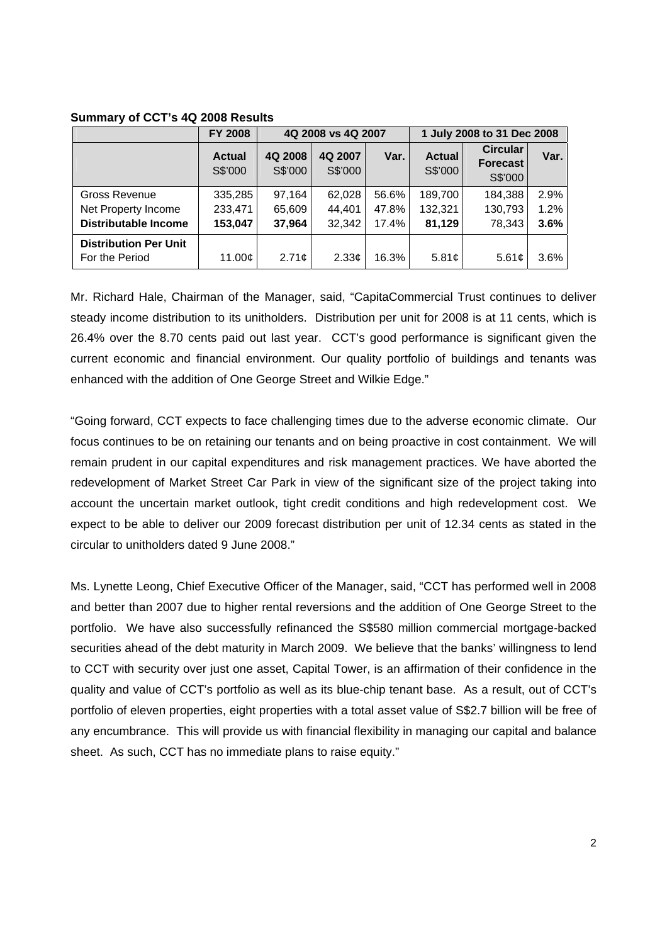|                              | <b>FY 2008</b>           | 4Q 2008 vs 4Q 2007 |                    |       | 1 July 2008 to 31 Dec 2008 |                                               |      |
|------------------------------|--------------------------|--------------------|--------------------|-------|----------------------------|-----------------------------------------------|------|
|                              | <b>Actual</b><br>S\$'000 | 4Q 2008<br>S\$'000 | 4Q 2007<br>S\$'000 | Var.  | <b>Actual</b><br>S\$'000   | <b>Circular</b><br><b>Forecast</b><br>S\$'000 | Var. |
| Gross Revenue                | 335,285                  | 97,164             | 62,028             | 56.6% | 189,700                    | 184,388                                       | 2.9% |
| Net Property Income          | 233,471                  | 65,609             | 44,401             | 47.8% | 132,321                    | 130,793                                       | 1.2% |
| <b>Distributable Income</b>  | 153,047                  | 37,964             | 32,342             | 17.4% | 81,129                     | 78,343                                        | 3.6% |
| <b>Distribution Per Unit</b> |                          |                    |                    |       |                            |                                               |      |
| For the Period               | 11.00 $\mathfrak{o}$     | 2.71 <sub>c</sub>  | 2.33 <sub>c</sub>  | 16.3% | 5.81 $\mathfrak{c}$        | 5.61¢                                         | 3.6% |

### **Summary of CCT's 4Q 2008 Results**

Mr. Richard Hale, Chairman of the Manager, said, "CapitaCommercial Trust continues to deliver steady income distribution to its unitholders. Distribution per unit for 2008 is at 11 cents, which is 26.4% over the 8.70 cents paid out last year. CCT's good performance is significant given the current economic and financial environment. Our quality portfolio of buildings and tenants was enhanced with the addition of One George Street and Wilkie Edge."

"Going forward, CCT expects to face challenging times due to the adverse economic climate. Our focus continues to be on retaining our tenants and on being proactive in cost containment. We will remain prudent in our capital expenditures and risk management practices. We have aborted the redevelopment of Market Street Car Park in view of the significant size of the project taking into account the uncertain market outlook, tight credit conditions and high redevelopment cost. We expect to be able to deliver our 2009 forecast distribution per unit of 12.34 cents as stated in the circular to unitholders dated 9 June 2008."

Ms. Lynette Leong, Chief Executive Officer of the Manager, said, "CCT has performed well in 2008 and better than 2007 due to higher rental reversions and the addition of One George Street to the portfolio. We have also successfully refinanced the S\$580 million commercial mortgage-backed securities ahead of the debt maturity in March 2009. We believe that the banks' willingness to lend to CCT with security over just one asset, Capital Tower, is an affirmation of their confidence in the quality and value of CCT's portfolio as well as its blue-chip tenant base. As a result, out of CCT's portfolio of eleven properties, eight properties with a total asset value of S\$2.7 billion will be free of any encumbrance. This will provide us with financial flexibility in managing our capital and balance sheet. As such, CCT has no immediate plans to raise equity."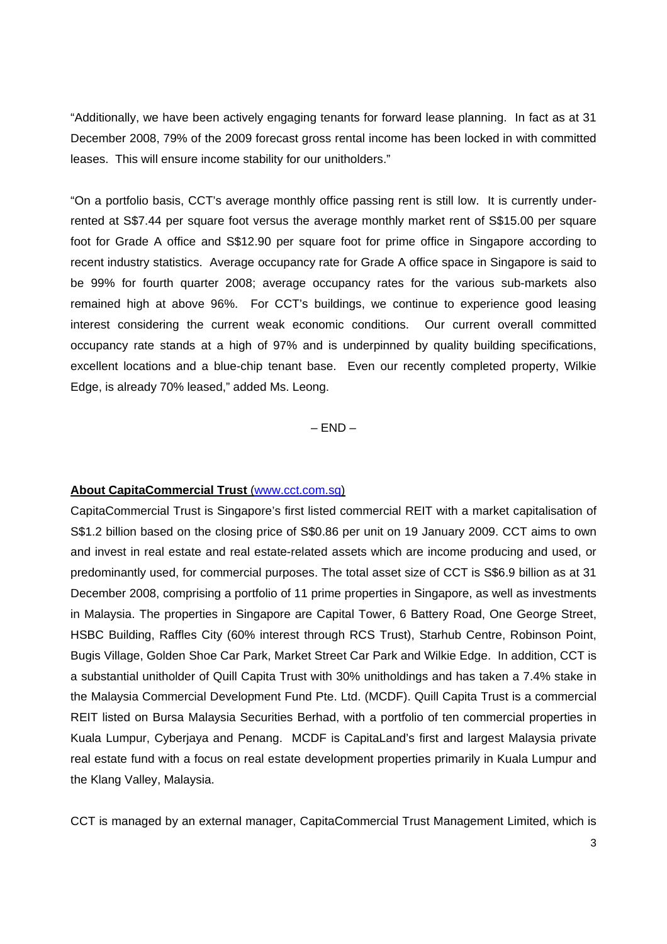"Additionally, we have been actively engaging tenants for forward lease planning. In fact as at 31 December 2008, 79% of the 2009 forecast gross rental income has been locked in with committed leases. This will ensure income stability for our unitholders."

"On a portfolio basis, CCT's average monthly office passing rent is still low. It is currently underrented at S\$7.44 per square foot versus the average monthly market rent of S\$15.00 per square foot for Grade A office and S\$12.90 per square foot for prime office in Singapore according to recent industry statistics. Average occupancy rate for Grade A office space in Singapore is said to be 99% for fourth quarter 2008; average occupancy rates for the various sub-markets also remained high at above 96%. For CCT's buildings, we continue to experience good leasing interest considering the current weak economic conditions. Our current overall committed occupancy rate stands at a high of 97% and is underpinned by quality building specifications, excellent locations and a blue-chip tenant base. Even our recently completed property, Wilkie Edge, is already 70% leased," added Ms. Leong.

 $-$  END  $-$ 

#### **About CapitaCommercial Trust** (www.cct.com.sg)

CapitaCommercial Trust is Singapore's first listed commercial REIT with a market capitalisation of S\$1.2 billion based on the closing price of S\$0.86 per unit on 19 January 2009. CCT aims to own and invest in real estate and real estate-related assets which are income producing and used, or predominantly used, for commercial purposes. The total asset size of CCT is S\$6.9 billion as at 31 December 2008, comprising a portfolio of 11 prime properties in Singapore, as well as investments in Malaysia. The properties in Singapore are Capital Tower, 6 Battery Road, One George Street, HSBC Building, Raffles City (60% interest through RCS Trust), Starhub Centre, Robinson Point, Bugis Village, Golden Shoe Car Park, Market Street Car Park and Wilkie Edge. In addition, CCT is a substantial unitholder of Quill Capita Trust with 30% unitholdings and has taken a 7.4% stake in the Malaysia Commercial Development Fund Pte. Ltd. (MCDF). Quill Capita Trust is a commercial REIT listed on Bursa Malaysia Securities Berhad, with a portfolio of ten commercial properties in Kuala Lumpur, Cyberjaya and Penang. MCDF is CapitaLand's first and largest Malaysia private real estate fund with a focus on real estate development properties primarily in Kuala Lumpur and the Klang Valley, Malaysia.

CCT is managed by an external manager, CapitaCommercial Trust Management Limited, which is